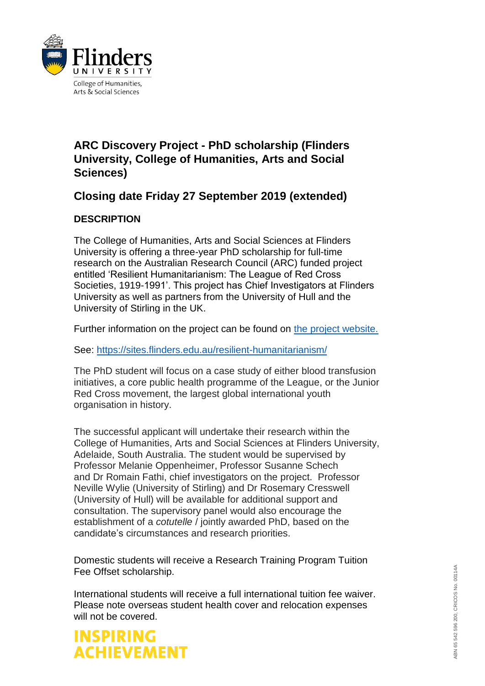

### **ARC Discovery Project - PhD scholarship (Flinders University, College of Humanities, Arts and Social Sciences)**

## **Closing date Friday 27 September 2019 (extended)**

### **DESCRIPTION**

The College of Humanities, Arts and Social Sciences at Flinders University is offering a three-year PhD scholarship for full-time research on the Australian Research Council (ARC) funded project entitled 'Resilient Humanitarianism: The League of Red Cross Societies, 1919-1991'. This project has Chief Investigators at Flinders University as well as partners from the University of Hull and the University of Stirling in the UK.

Further information on the project can be found on [the project website.](https://sites.flinders.edu.au/resilient-humanitarianism/)

See:<https://sites.flinders.edu.au/resilient-humanitarianism/>

The PhD student will focus on a case study of either blood transfusion initiatives, a core public health programme of the League, or the Junior Red Cross movement, the largest global international youth organisation in history.

The successful applicant will undertake their research within the College of Humanities, Arts and Social Sciences at Flinders University, Adelaide, South Australia. The student would be supervised by Professor Melanie Oppenheimer, Professor Susanne Schech and Dr Romain Fathi, chief investigators on the project. Professor Neville Wylie (University of Stirling) and Dr Rosemary Cresswell (University of Hull) will be available for additional support and consultation. The supervisory panel would also encourage the establishment of a *cotutelle* / jointly awarded PhD, based on the candidate's circumstances and research priorities.

Domestic students will receive a Research Training Program Tuition Fee Offset scholarship.

International students will receive a full international tuition fee waiver. Please note overseas student health cover and relocation expenses will not be covered.

## **INSPIRING ACHIEVEMENT**